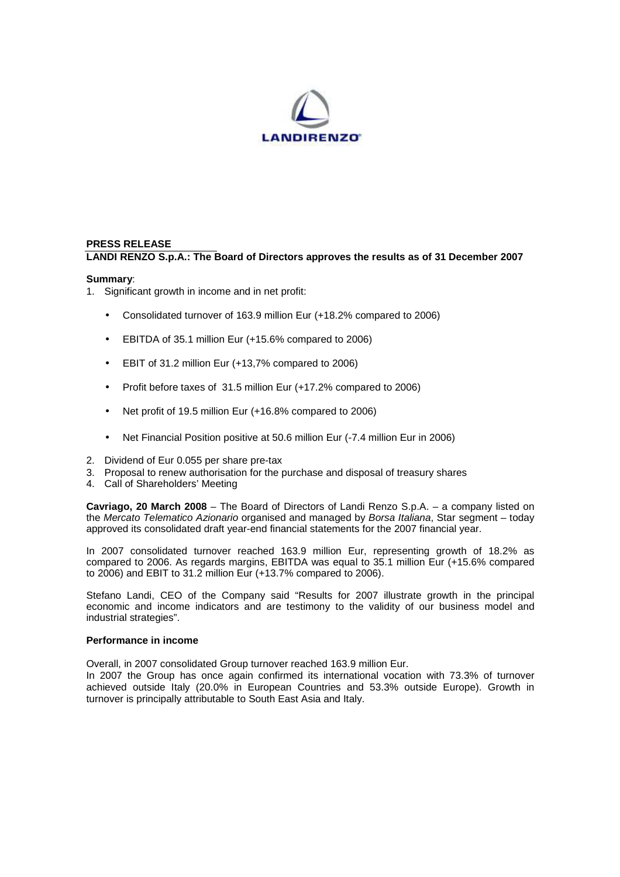

## **PRESS RELEASE LANDI RENZO S.p.A.: The Board of Directors approves the results as of 31 December 2007**

#### **Summary**:

1. Significant growth in income and in net profit:

- Consolidated turnover of 163.9 million Eur (+18.2% compared to 2006)
- EBITDA of 35.1 million Eur (+15.6% compared to 2006)
- EBIT of 31.2 million Eur (+13,7% compared to 2006)
- Profit before taxes of 31.5 million Eur (+17.2% compared to 2006)
- Net profit of 19.5 million Eur (+16.8% compared to 2006)
- Net Financial Position positive at 50.6 million Eur (-7.4 million Eur in 2006)
- 2. Dividend of Eur 0.055 per share pre-tax
- 3. Proposal to renew authorisation for the purchase and disposal of treasury shares
- 4. Call of Shareholders' Meeting

**Cavriago, 20 March 2008** – The Board of Directors of Landi Renzo S.p.A. – a company listed on the Mercato Telematico Azionario organised and managed by Borsa Italiana, Star segment – today approved its consolidated draft year-end financial statements for the 2007 financial year.

In 2007 consolidated turnover reached 163.9 million Eur, representing growth of 18.2% as compared to 2006. As regards margins, EBITDA was equal to 35.1 million Eur (+15.6% compared to 2006) and EBIT to 31.2 million Eur (+13.7% compared to 2006).

Stefano Landi, CEO of the Company said "Results for 2007 illustrate growth in the principal economic and income indicators and are testimony to the validity of our business model and industrial strategies".

#### **Performance in income**

Overall, in 2007 consolidated Group turnover reached 163.9 million Eur.

In 2007 the Group has once again confirmed its international vocation with 73.3% of turnover achieved outside Italy (20.0% in European Countries and 53.3% outside Europe). Growth in turnover is principally attributable to South East Asia and Italy.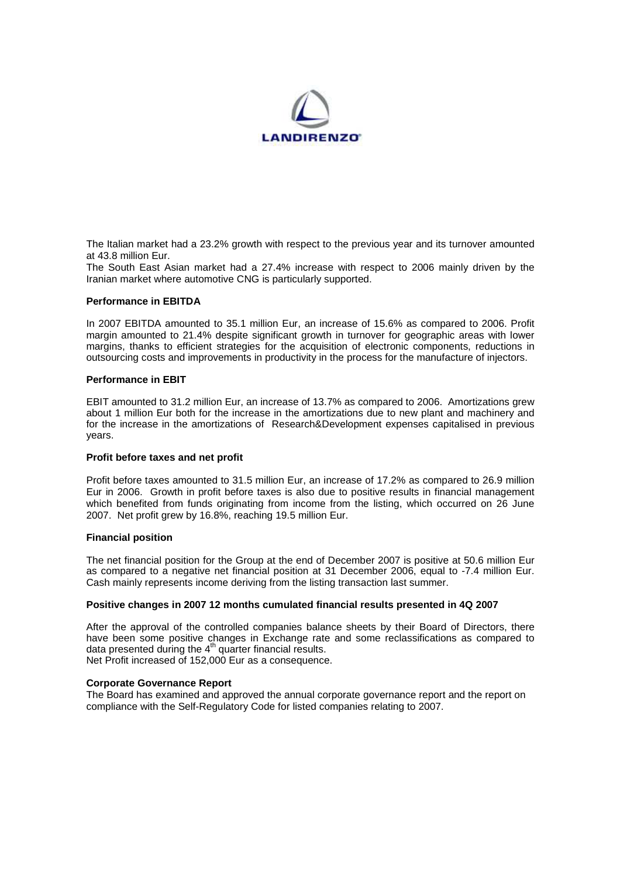

The Italian market had a 23.2% growth with respect to the previous year and its turnover amounted at 43.8 million Eur.

The South East Asian market had a 27.4% increase with respect to 2006 mainly driven by the Iranian market where automotive CNG is particularly supported.

#### **Performance in EBITDA**

In 2007 EBITDA amounted to 35.1 million Eur, an increase of 15.6% as compared to 2006. Profit margin amounted to 21.4% despite significant growth in turnover for geographic areas with lower margins, thanks to efficient strategies for the acquisition of electronic components, reductions in outsourcing costs and improvements in productivity in the process for the manufacture of injectors.

#### **Performance in EBIT**

EBIT amounted to 31.2 million Eur, an increase of 13.7% as compared to 2006. Amortizations grew about 1 million Eur both for the increase in the amortizations due to new plant and machinery and for the increase in the amortizations of Research&Development expenses capitalised in previous years.

#### **Profit before taxes and net profit**

Profit before taxes amounted to 31.5 million Eur, an increase of 17.2% as compared to 26.9 million Eur in 2006. Growth in profit before taxes is also due to positive results in financial management which benefited from funds originating from income from the listing, which occurred on 26 June 2007. Net profit grew by 16.8%, reaching 19.5 million Eur.

#### **Financial position**

The net financial position for the Group at the end of December 2007 is positive at 50.6 million Eur as compared to a negative net financial position at 31 December 2006, equal to -7.4 million Eur. Cash mainly represents income deriving from the listing transaction last summer.

### **Positive changes in 2007 12 months cumulated financial results presented in 4Q 2007**

After the approval of the controlled companies balance sheets by their Board of Directors, there have been some positive changes in Exchange rate and some reclassifications as compared to data presented during the  $4<sup>th</sup>$  quarter financial results. Net Profit increased of 152,000 Eur as a consequence.

#### **Corporate Governance Report**

The Board has examined and approved the annual corporate governance report and the report on compliance with the Self-Regulatory Code for listed companies relating to 2007.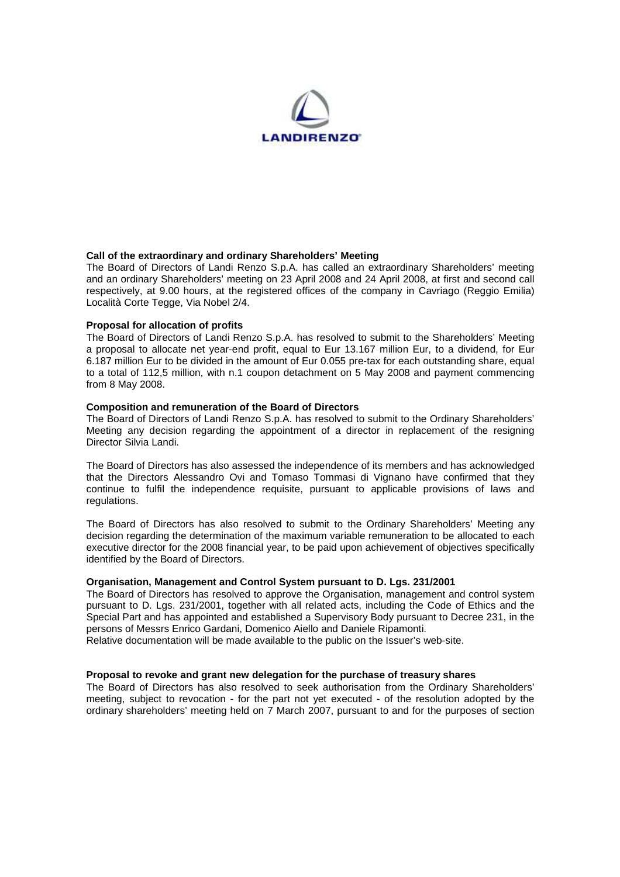

#### **Call of the extraordinary and ordinary Shareholders' Meeting**

The Board of Directors of Landi Renzo S.p.A. has called an extraordinary Shareholders' meeting and an ordinary Shareholders' meeting on 23 April 2008 and 24 April 2008, at first and second call respectively, at 9.00 hours, at the registered offices of the company in Cavriago (Reggio Emilia) Località Corte Tegge, Via Nobel 2/4.

#### **Proposal for allocation of profits**

The Board of Directors of Landi Renzo S.p.A. has resolved to submit to the Shareholders' Meeting a proposal to allocate net year-end profit, equal to Eur 13.167 million Eur, to a dividend, for Eur 6.187 million Eur to be divided in the amount of Eur 0.055 pre-tax for each outstanding share, equal to a total of 112,5 million, with n.1 coupon detachment on 5 May 2008 and payment commencing from 8 May 2008.

#### **Composition and remuneration of the Board of Directors**

The Board of Directors of Landi Renzo S.p.A. has resolved to submit to the Ordinary Shareholders' Meeting any decision regarding the appointment of a director in replacement of the resigning Director Silvia Landi.

The Board of Directors has also assessed the independence of its members and has acknowledged that the Directors Alessandro Ovi and Tomaso Tommasi di Vignano have confirmed that they continue to fulfil the independence requisite, pursuant to applicable provisions of laws and regulations.

The Board of Directors has also resolved to submit to the Ordinary Shareholders' Meeting any decision regarding the determination of the maximum variable remuneration to be allocated to each executive director for the 2008 financial year, to be paid upon achievement of objectives specifically identified by the Board of Directors.

#### **Organisation, Management and Control System pursuant to D. Lgs. 231/2001**

The Board of Directors has resolved to approve the Organisation, management and control system pursuant to D. Lgs. 231/2001, together with all related acts, including the Code of Ethics and the Special Part and has appointed and established a Supervisory Body pursuant to Decree 231, in the persons of Messrs Enrico Gardani, Domenico Aiello and Daniele Ripamonti.

Relative documentation will be made available to the public on the Issuer's web-site.

#### **Proposal to revoke and grant new delegation for the purchase of treasury shares**

The Board of Directors has also resolved to seek authorisation from the Ordinary Shareholders' meeting, subject to revocation - for the part not yet executed - of the resolution adopted by the ordinary shareholders' meeting held on 7 March 2007, pursuant to and for the purposes of section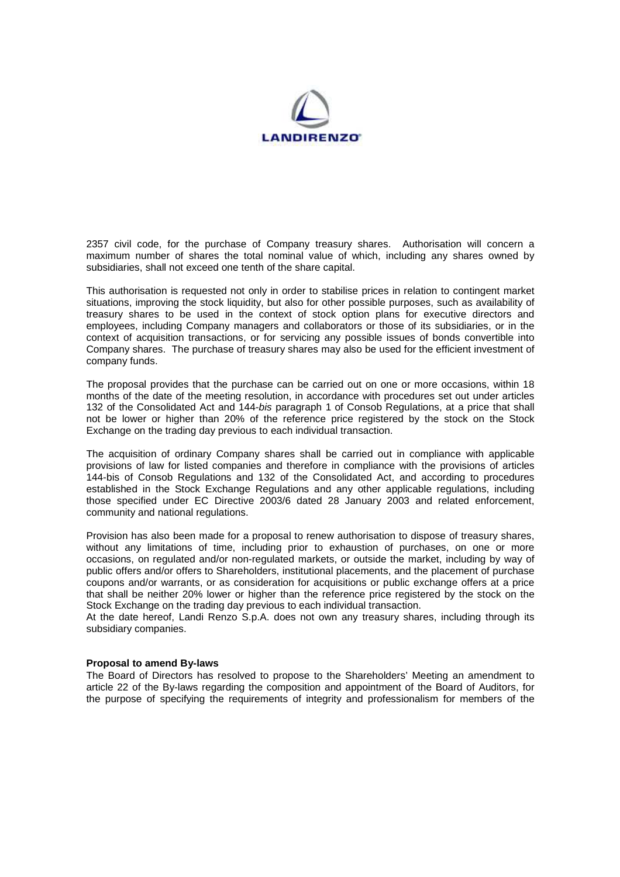

2357 civil code, for the purchase of Company treasury shares. Authorisation will concern a maximum number of shares the total nominal value of which, including any shares owned by subsidiaries, shall not exceed one tenth of the share capital.

This authorisation is requested not only in order to stabilise prices in relation to contingent market situations, improving the stock liquidity, but also for other possible purposes, such as availability of treasury shares to be used in the context of stock option plans for executive directors and employees, including Company managers and collaborators or those of its subsidiaries, or in the context of acquisition transactions, or for servicing any possible issues of bonds convertible into Company shares. The purchase of treasury shares may also be used for the efficient investment of company funds.

The proposal provides that the purchase can be carried out on one or more occasions, within 18 months of the date of the meeting resolution, in accordance with procedures set out under articles 132 of the Consolidated Act and 144-bis paragraph 1 of Consob Regulations, at a price that shall not be lower or higher than 20% of the reference price registered by the stock on the Stock Exchange on the trading day previous to each individual transaction.

The acquisition of ordinary Company shares shall be carried out in compliance with applicable provisions of law for listed companies and therefore in compliance with the provisions of articles 144-bis of Consob Regulations and 132 of the Consolidated Act, and according to procedures established in the Stock Exchange Regulations and any other applicable regulations, including those specified under EC Directive 2003/6 dated 28 January 2003 and related enforcement, community and national regulations.

Provision has also been made for a proposal to renew authorisation to dispose of treasury shares, without any limitations of time, including prior to exhaustion of purchases, on one or more occasions, on regulated and/or non-regulated markets, or outside the market, including by way of public offers and/or offers to Shareholders, institutional placements, and the placement of purchase coupons and/or warrants, or as consideration for acquisitions or public exchange offers at a price that shall be neither 20% lower or higher than the reference price registered by the stock on the Stock Exchange on the trading day previous to each individual transaction.

At the date hereof, Landi Renzo S.p.A. does not own any treasury shares, including through its subsidiary companies.

#### **Proposal to amend By-laws**

The Board of Directors has resolved to propose to the Shareholders' Meeting an amendment to article 22 of the By-laws regarding the composition and appointment of the Board of Auditors, for the purpose of specifying the requirements of integrity and professionalism for members of the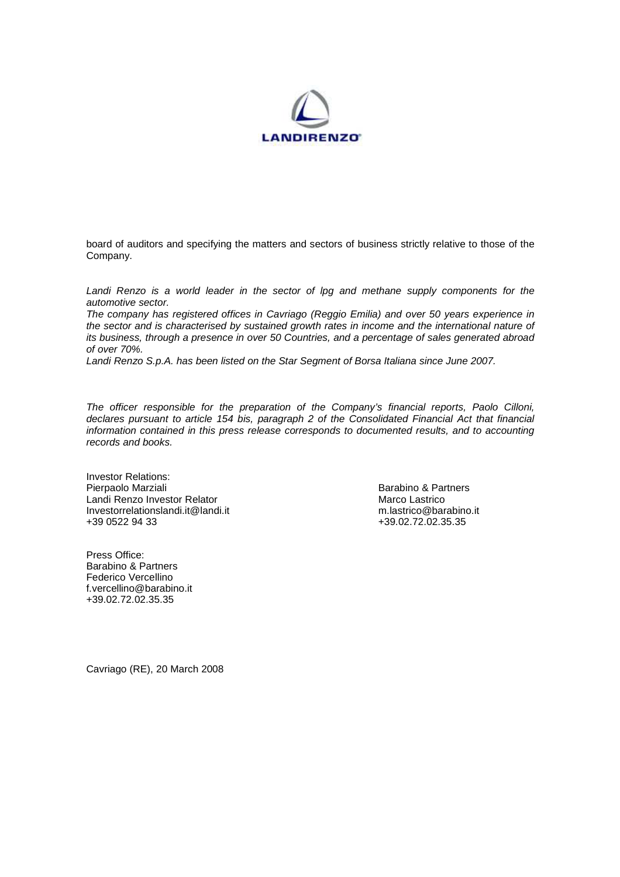

board of auditors and specifying the matters and sectors of business strictly relative to those of the Company.

Landi Renzo is a world leader in the sector of lpg and methane supply components for the automotive sector.

The company has registered offices in Cavriago (Reggio Emilia) and over 50 years experience in the sector and is characterised by sustained growth rates in income and the international nature of its business, through a presence in over 50 Countries, and a percentage of sales generated abroad of over 70%.

Landi Renzo S.p.A. has been listed on the Star Segment of Borsa Italiana since June 2007.

The officer responsible for the preparation of the Company's financial reports, Paolo Cilloni, declares pursuant to article 154 bis, paragraph 2 of the Consolidated Financial Act that financial information contained in this press release corresponds to documented results, and to accounting records and books.

Investor Relations: Pierpaolo Marziali **Barabino & Partners Barabino & Partners** Landi Renzo Investor Relator<br>
Investorrelationslandi.it@landi.it Marco Lastrico @barabino.it Investorrelationslandi.it@landi.it<br>+39.0522.94.33

Press Office: Barabino & Partners Federico Vercellino f.vercellino@barabino.it +39.02.72.02.35.35

+39.02.72.02.35.35

Cavriago (RE), 20 March 2008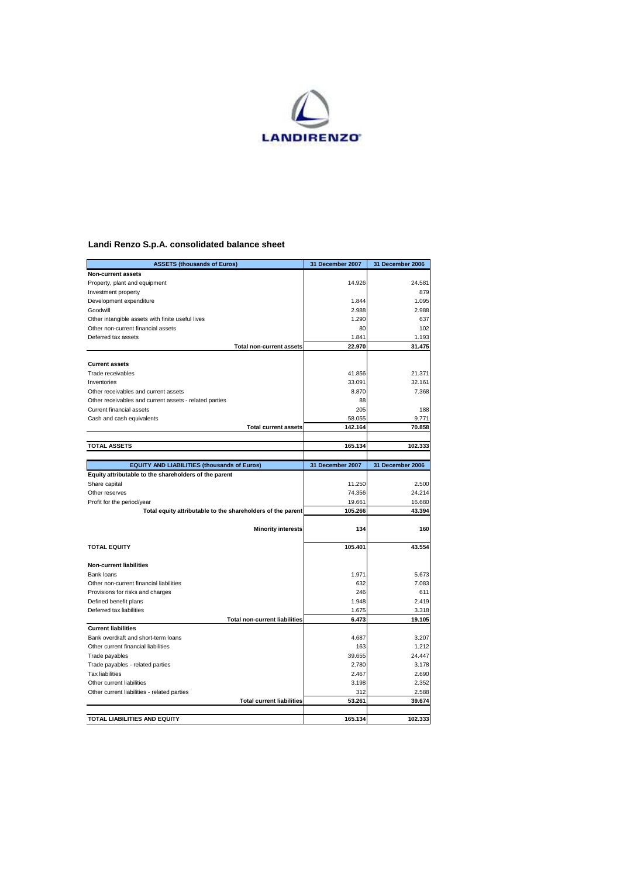

## **Landi Renzo S.p.A. consolidated balance sheet**

| <b>ASSETS (thousands of Euros)</b>                          | 31 December 2007  | 31 December 2006 |
|-------------------------------------------------------------|-------------------|------------------|
| Non-current assets                                          |                   |                  |
| Property, plant and equipment                               | 14.926            | 24.581           |
| Investment property                                         |                   | 879              |
| Development expenditure                                     | 1.844             | 1.095            |
| Goodwill                                                    | 2.988             | 2.988            |
| Other intangible assets with finite useful lives            | 1.290             | 637              |
| Other non-current financial assets                          | 80                | 102              |
| Deferred tax assets                                         | 1.841             | 1.193            |
| <b>Total non-current assets</b>                             | 22.970            | 31.475           |
|                                                             |                   |                  |
| <b>Current assets</b>                                       |                   |                  |
| Trade receivables                                           | 41.856            | 21.371           |
| Inventories                                                 | 33.091            | 32.161           |
| Other receivables and current assets                        | 8.870             | 7.368            |
| Other receivables and current assets - related parties      | 88                |                  |
| Current financial assets                                    | 205               | 188              |
| Cash and cash equivalents                                   | 58.055            | 9.771            |
| <b>Total current assets</b>                                 | 142.164           | 70.858           |
|                                                             |                   |                  |
| <b>TOTAL ASSETS</b>                                         | 165.134           | 102.333          |
|                                                             |                   | 31 December 2006 |
| <b>EQUITY AND LIABILITIES (thousands of Euros)</b>          | 31 December 2007  |                  |
| Equity attributable to the shareholders of the parent       |                   |                  |
| Share capital                                               | 11.250            | 2.500<br>24.214  |
| Other reserves                                              | 74.356            |                  |
| Profit for the period/year                                  | 19.661<br>105.266 | 16.680           |
| Total equity attributable to the shareholders of the parent |                   | 43.394           |
| <b>Minority interests</b>                                   | 134               | 160              |
|                                                             |                   |                  |
| <b>TOTAL EQUITY</b>                                         | 105.401           | 43.554           |
|                                                             |                   |                  |
| <b>Non-current liabilities</b>                              |                   |                  |
| Bank loans                                                  | 1.971             | 5.673            |
| Other non-current financial liabilities                     | 632               | 7.083            |
| Provisions for risks and charges                            | 246               | 611              |
| Defined benefit plans                                       | 1.948             | 2.419            |
| Deferred tax liabilities                                    | 1.675             | 3.318            |
| <b>Total non-current liabilities</b>                        | 6.473             | 19.105           |
| <b>Current liabilities</b>                                  |                   |                  |
| Bank overdraft and short-term loans                         | 4.687             | 3.207            |
| Other current financial liabilities                         | 163               | 1.212            |
| Trade payables                                              | 39.655            | 24.447           |
| Trade payables - related parties                            | 2.780             | 3.178            |
| <b>Tax liabilities</b>                                      | 2.467             | 2.690            |
| Other current liabilities                                   | 3.198             | 2.352            |
| Other current liabilities - related parties                 | 312               | 2.588            |
| <b>Total current liabilities</b>                            | 53.261            | 39.674           |
|                                                             |                   |                  |
| <b>TOTAL LIABILITIES AND EQUITY</b>                         | 165.134           | 102.333          |